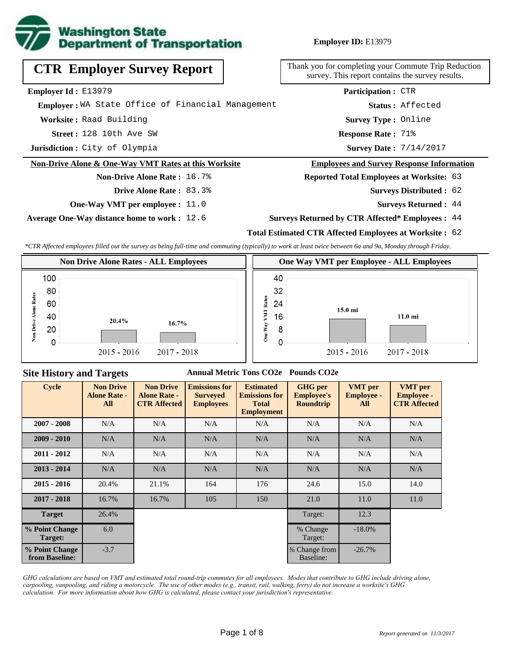

**Employer ID:** E13979

| <b>CTR Employer Survey Report</b>                    | Thank you for completing your Commute Trip Reduction<br>survey. This report contains the survey results. |
|------------------------------------------------------|----------------------------------------------------------------------------------------------------------|
| <b>Employer Id:</b> $E13979$                         | <b>Participation: CTR</b>                                                                                |
| Employer: WA State Office of Financial Management    | Status: Affected                                                                                         |
| Worksite: Raad Building                              | <b>Survey Type: Online</b>                                                                               |
| Street: 128 10th Ave SW                              | <b>Response Rate: 71%</b>                                                                                |
| Jurisdiction: City of Olympia                        | <b>Survey Date: 7/14/2017</b>                                                                            |
| Non-Drive Alone & One-Way VMT Rates at this Worksite | <b>Employees and Survey Response Information</b>                                                         |
| <b>Non-Drive Alone Rate: 16.7%</b>                   | <b>Reported Total Employees at Worksite: 63</b>                                                          |
| <b>Drive Alone Rate: 83.3%</b>                       | <b>Surveys Distributed : 62</b>                                                                          |
| <b>One-Way VMT per employee :</b> 11.0               | <b>Surveys Returned: 44</b>                                                                              |

**Average One-Way distance home to work :** 12.6

#### **Surveys Returned by CTR Affected\* Employees :** 44

### **Total Estimated CTR Affected Employees at Worksite :** 62

*\*CTR Affected employees filled out the survey as being full-time and commuting (typically) to work at least twice between 6a and 9a, Monday through Friday.*



#### **Site History and Targets**

#### **Annual Metric Tons CO2e Pounds CO2e**

| <b>Cycle</b>                     | <b>Non Drive</b><br><b>Alone Rate -</b><br>All | <b>Non Drive</b><br><b>Alone Rate -</b><br><b>CTR Affected</b> | <b>Emissions for</b><br><b>Surveyed</b><br><b>Employees</b> | <b>Estimated</b><br><b>Emissions for</b><br><b>Total</b><br><b>Employment</b> | <b>GHG</b> per<br><b>Employee's</b><br><b>Roundtrip</b> | <b>VMT</b> per<br><b>Employee -</b><br>All | <b>VMT</b> per<br><b>Employee -</b><br><b>CTR Affected</b> |
|----------------------------------|------------------------------------------------|----------------------------------------------------------------|-------------------------------------------------------------|-------------------------------------------------------------------------------|---------------------------------------------------------|--------------------------------------------|------------------------------------------------------------|
| $2007 - 2008$                    | N/A                                            | N/A                                                            | N/A                                                         | N/A                                                                           | N/A                                                     | N/A                                        | N/A                                                        |
| $2009 - 2010$                    | N/A                                            | N/A                                                            | N/A                                                         | N/A                                                                           | N/A                                                     | N/A                                        | N/A                                                        |
| $2011 - 2012$                    | N/A                                            | N/A                                                            | N/A                                                         | N/A                                                                           | N/A                                                     | N/A                                        | N/A                                                        |
| $2013 - 2014$                    | N/A                                            | N/A                                                            | N/A                                                         | N/A                                                                           | N/A                                                     | N/A                                        | N/A                                                        |
| $2015 - 2016$                    | 20.4%                                          | 21.1%                                                          | 164                                                         | 176                                                                           | 24.6                                                    | 15.0                                       | 14.0                                                       |
| $2017 - 2018$                    | 16.7%                                          | 16.7%                                                          | 105                                                         | 150                                                                           | 21.0                                                    | 11.0                                       | 11.0                                                       |
| <b>Target</b>                    | 26.4%                                          |                                                                |                                                             |                                                                               | Target:                                                 | 12.3                                       |                                                            |
| % Point Change<br>Target:        | 6.0                                            |                                                                |                                                             |                                                                               | % Change<br>Target:                                     | $-18.0%$                                   |                                                            |
| % Point Change<br>from Baseline: | $-3.7$                                         |                                                                |                                                             |                                                                               | % Change from<br>Baseline:                              | $-26.7%$                                   |                                                            |

*GHG calculations are based on VMT and estimated total round-trip commutes for all employees. Modes that contribute to GHG include driving alone, carpooling, vanpooling, and riding a motorcycle. The use of other modes (e.g., transit, rail, walking, ferry) do not increase a worksite's GHG calculation. For more information about how GHG is calculated, please contact your jurisdiction's representative.*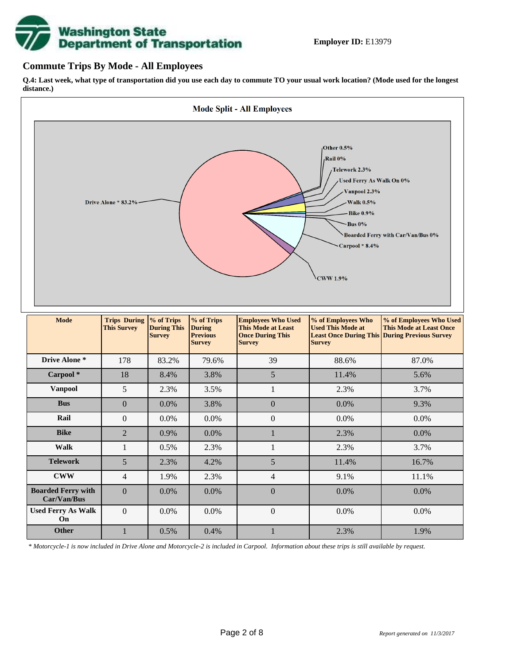# **Washington State<br>Department of Transportation**

## **Commute Trips By Mode - All Employees**

**Q.4: Last week, what type of transportation did you use each day to commute TO your usual work location? (Mode used for the longest distance.)**



*\* Motorcycle-1 is now included in Drive Alone and Motorcycle-2 is included in Carpool. Information about these trips is still available by request.*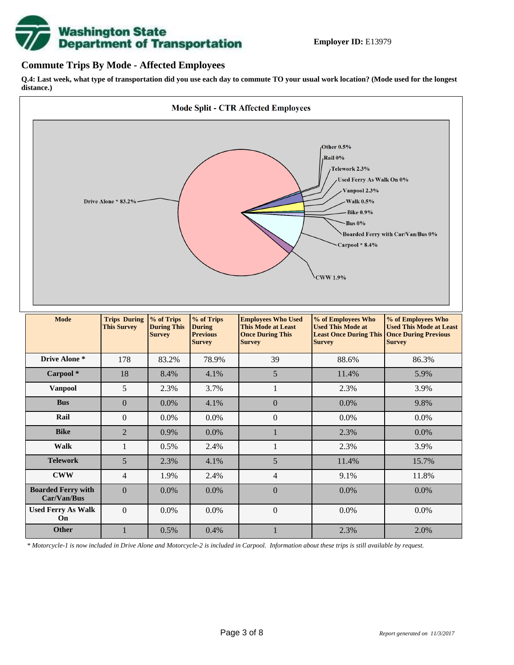

## **Commute Trips By Mode - Affected Employees**

**Q.4: Last week, what type of transportation did you use each day to commute TO your usual work location? (Mode used for the longest distance.)**



*\* Motorcycle-1 is now included in Drive Alone and Motorcycle-2 is included in Carpool. Information about these trips is still available by request.*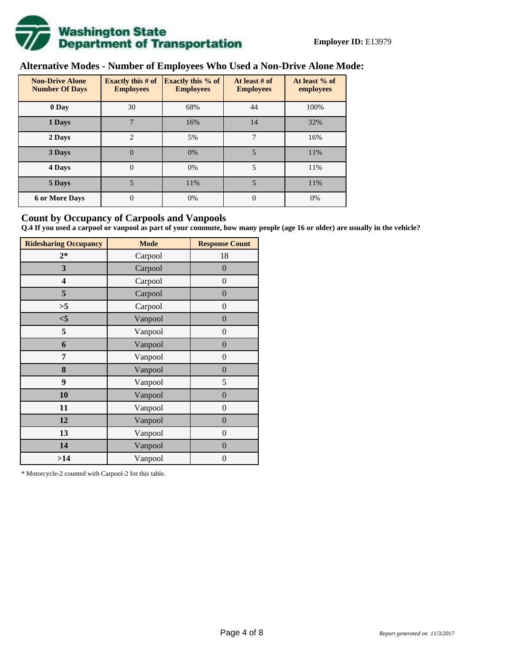

# **Alternative Modes - Number of Employees Who Used a Non-Drive Alone Mode:**

| <b>Non-Drive Alone</b><br><b>Number Of Days</b> | <b>Exactly this # of</b><br><b>Employees</b> | <b>Exactly this % of</b><br><b>Employees</b> | At least # of<br><b>Employees</b> | At least % of<br>employees |
|-------------------------------------------------|----------------------------------------------|----------------------------------------------|-----------------------------------|----------------------------|
| 0 Day                                           | 30                                           | 68%                                          | 44                                | 100%                       |
| 1 Days                                          | 7                                            | 16%                                          | 14                                | 32%                        |
| $\overline{c}$<br>2 Days                        |                                              | 5%                                           | 7                                 | 16%                        |
| 3 Days                                          | $\overline{0}$                               | 0%                                           | 5                                 | 11%                        |
| 4 Days                                          | $\Omega$                                     | 0%                                           | 5                                 | 11%                        |
| 5 Days                                          |                                              | 11%                                          | 5                                 | 11%                        |
| <b>6 or More Days</b>                           | $\theta$                                     | 0%                                           | $\Omega$                          | 0%                         |

## **Count by Occupancy of Carpools and Vanpools**

**Q.4 If you used a carpool or vanpool as part of your commute, how many people (age 16 or older) are usually in the vehicle?**

| <b>Ridesharing Occupancy</b> | <b>Mode</b> | <b>Response Count</b> |
|------------------------------|-------------|-----------------------|
| $2*$                         | Carpool     | 18                    |
| 3                            | Carpool     | $\overline{0}$        |
| 4                            | Carpool     | $\boldsymbol{0}$      |
| 5                            | Carpool     | $\overline{0}$        |
| >5                           | Carpool     | $\overline{0}$        |
| < 5                          | Vanpool     | $\boldsymbol{0}$      |
| 5                            | Vanpool     | $\boldsymbol{0}$      |
| 6                            | Vanpool     | $\boldsymbol{0}$      |
| 7                            | Vanpool     | $\overline{0}$        |
| 8                            | Vanpool     | $\boldsymbol{0}$      |
| 9                            | Vanpool     | 5                     |
| 10                           | Vanpool     | $\overline{0}$        |
| 11                           | Vanpool     | $\boldsymbol{0}$      |
| 12                           | Vanpool     | $\boldsymbol{0}$      |
| 13                           | Vanpool     | $\boldsymbol{0}$      |
| 14                           | Vanpool     | $\overline{0}$        |
| >14                          | Vanpool     | $\boldsymbol{0}$      |

\* Motorcycle-2 counted with Carpool-2 for this table.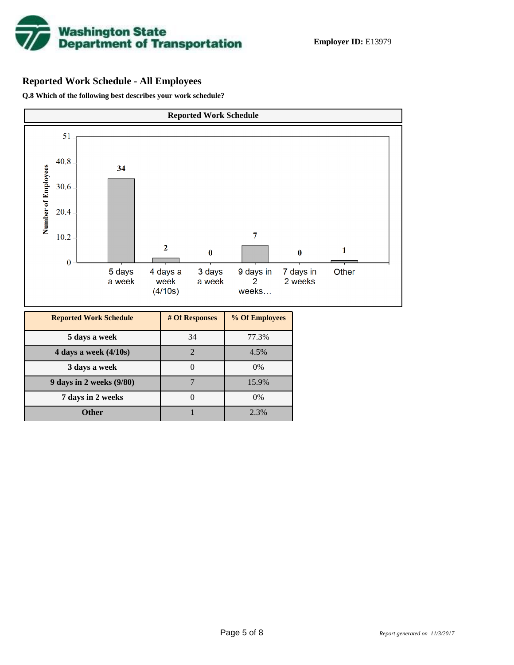

## **Reported Work Schedule - All Employees**

**Q.8 Which of the following best describes your work schedule?**

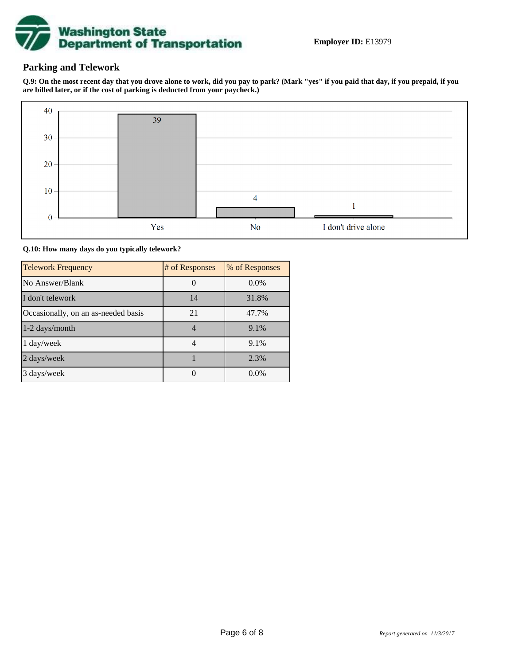

## **Parking and Telework**

**Q.9: On the most recent day that you drove alone to work, did you pay to park? (Mark "yes" if you paid that day, if you prepaid, if you are billed later, or if the cost of parking is deducted from your paycheck.)**



**Q.10: How many days do you typically telework?**

| <b>Telework Frequency</b>           | # of Responses | % of Responses |
|-------------------------------------|----------------|----------------|
| No Answer/Blank                     |                | $0.0\%$        |
| I don't telework                    | 14             | 31.8%          |
| Occasionally, on an as-needed basis | 21             | 47.7%          |
| 1-2 days/month                      | 4              | 9.1%           |
| 1 day/week                          |                | 9.1%           |
| 2 days/week                         |                | 2.3%           |
| 3 days/week                         |                | $0.0\%$        |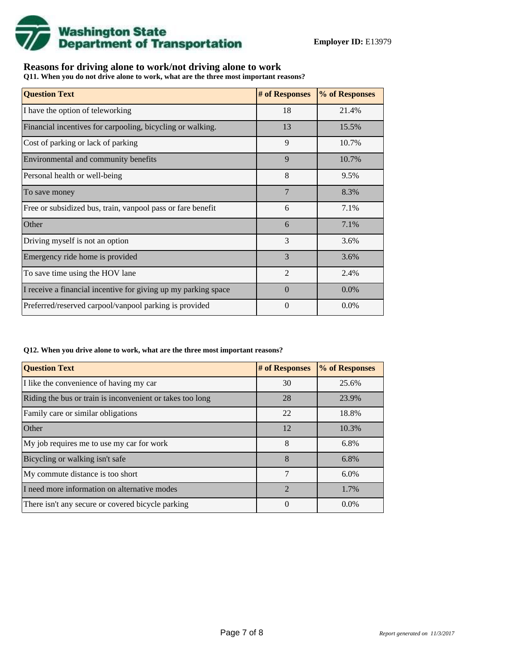

## **Reasons for driving alone to work/not driving alone to work**

**Q11. When you do not drive alone to work, what are the three most important reasons?**

| <b>Question Text</b>                                           | # of Responses | % of Responses |
|----------------------------------------------------------------|----------------|----------------|
| I have the option of teleworking                               | 18             | 21.4%          |
| Financial incentives for carpooling, bicycling or walking.     | 13             | 15.5%          |
| Cost of parking or lack of parking                             | 9              | 10.7%          |
| Environmental and community benefits                           | 9              | 10.7%          |
| Personal health or well-being                                  | 8              | 9.5%           |
| To save money                                                  | $\overline{7}$ | 8.3%           |
| Free or subsidized bus, train, vanpool pass or fare benefit    | 6              | 7.1%           |
| Other                                                          | 6              | 7.1%           |
| Driving myself is not an option                                | 3              | 3.6%           |
| Emergency ride home is provided                                | 3              | 3.6%           |
| To save time using the HOV lane                                | $\mathfrak{D}$ | 2.4%           |
| I receive a financial incentive for giving up my parking space | $\Omega$       | 0.0%           |
| Preferred/reserved carpool/vanpool parking is provided         | $\Omega$       | $0.0\%$        |

#### **Q12. When you drive alone to work, what are the three most important reasons?**

| <b>Question Text</b>                                      | # of Responses | % of Responses |
|-----------------------------------------------------------|----------------|----------------|
| I like the convenience of having my car                   | 30             | 25.6%          |
| Riding the bus or train is inconvenient or takes too long | 28             | 23.9%          |
| Family care or similar obligations                        | 22             | 18.8%          |
| Other                                                     | 12             | 10.3%          |
| My job requires me to use my car for work                 | 8              | 6.8%           |
| Bicycling or walking isn't safe                           | 8              | 6.8%           |
| My commute distance is too short                          | 7              | $6.0\%$        |
| I need more information on alternative modes              | $\mathfrak{D}$ | 1.7%           |
| There isn't any secure or covered bicycle parking         | 0              | $0.0\%$        |